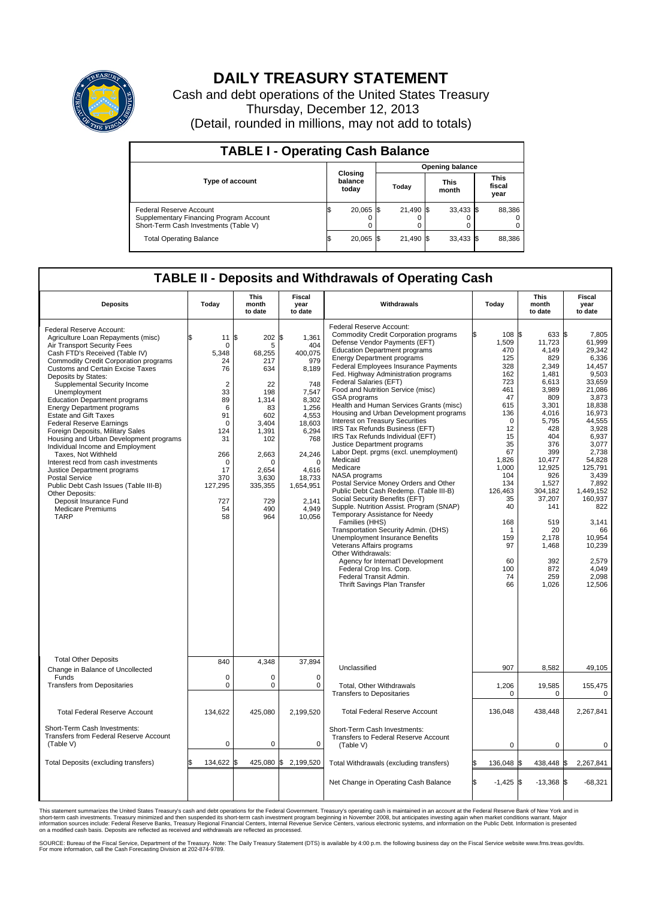

## **DAILY TREASURY STATEMENT**

Cash and debt operations of the United States Treasury Thursday, December 12, 2013 (Detail, rounded in millions, may not add to totals)

| <b>TABLE I - Operating Cash Balance</b>                                                                     |  |                             |       |                        |  |                      |  |                               |  |  |  |
|-------------------------------------------------------------------------------------------------------------|--|-----------------------------|-------|------------------------|--|----------------------|--|-------------------------------|--|--|--|
|                                                                                                             |  |                             |       | <b>Opening balance</b> |  |                      |  |                               |  |  |  |
| <b>Type of account</b>                                                                                      |  | Closing<br>balance<br>today | Todav |                        |  | <b>This</b><br>month |  | <b>This</b><br>fiscal<br>year |  |  |  |
| Federal Reserve Account<br>Supplementary Financing Program Account<br>Short-Term Cash Investments (Table V) |  | 20,065 \$                   |       | 21.490 \$              |  | $33,433$ \$          |  | 88,386                        |  |  |  |
| <b>Total Operating Balance</b>                                                                              |  | 20,065 \$                   |       | 21,490 \$              |  | $33,433$ \$          |  | 88,386                        |  |  |  |

## **TABLE II - Deposits and Withdrawals of Operating Cash**

| <b>Deposits</b>                                                                                                                                                                                                                                                                                                                                                                                                                                                                                                                                                                                                                                                                                                                                                                                                     | Todav                                                                                                                                                                           | <b>This</b><br>month<br>to date                                                                                                                                       | Fiscal<br>year<br>to date                                                                                                                                                                      | Withdrawals                                                                                                                                                                                                                                                                                                                                                                                                                                                                                                                                                                                                                                                                                                                                                                                                                                                                                                                                                                                                                                                                                                                                                      | Today                                                                                                                                                                                                                         | <b>This</b><br>month<br>to date                                                                                                                                                                                                                                 | Fiscal<br>year<br>to date                                                                                                                                                                                                                                                                          |
|---------------------------------------------------------------------------------------------------------------------------------------------------------------------------------------------------------------------------------------------------------------------------------------------------------------------------------------------------------------------------------------------------------------------------------------------------------------------------------------------------------------------------------------------------------------------------------------------------------------------------------------------------------------------------------------------------------------------------------------------------------------------------------------------------------------------|---------------------------------------------------------------------------------------------------------------------------------------------------------------------------------|-----------------------------------------------------------------------------------------------------------------------------------------------------------------------|------------------------------------------------------------------------------------------------------------------------------------------------------------------------------------------------|------------------------------------------------------------------------------------------------------------------------------------------------------------------------------------------------------------------------------------------------------------------------------------------------------------------------------------------------------------------------------------------------------------------------------------------------------------------------------------------------------------------------------------------------------------------------------------------------------------------------------------------------------------------------------------------------------------------------------------------------------------------------------------------------------------------------------------------------------------------------------------------------------------------------------------------------------------------------------------------------------------------------------------------------------------------------------------------------------------------------------------------------------------------|-------------------------------------------------------------------------------------------------------------------------------------------------------------------------------------------------------------------------------|-----------------------------------------------------------------------------------------------------------------------------------------------------------------------------------------------------------------------------------------------------------------|----------------------------------------------------------------------------------------------------------------------------------------------------------------------------------------------------------------------------------------------------------------------------------------------------|
| Federal Reserve Account:<br>Agriculture Loan Repayments (misc)<br>Air Transport Security Fees<br>Cash FTD's Received (Table IV)<br><b>Commodity Credit Corporation programs</b><br><b>Customs and Certain Excise Taxes</b><br>Deposits by States:<br>Supplemental Security Income<br>Unemployment<br><b>Education Department programs</b><br><b>Energy Department programs</b><br><b>Estate and Gift Taxes</b><br><b>Federal Reserve Earnings</b><br>Foreign Deposits, Military Sales<br>Housing and Urban Development programs<br>Individual Income and Employment<br>Taxes. Not Withheld<br>Interest recd from cash investments<br>Justice Department programs<br>Postal Service<br>Public Debt Cash Issues (Table III-B)<br>Other Deposits:<br>Deposit Insurance Fund<br><b>Medicare Premiums</b><br><b>TARP</b> | \$<br>11<br>$\mathbf 0$<br>5.348<br>24<br>76<br>$\overline{2}$<br>33<br>89<br>6<br>91<br>$\mathbf 0$<br>124<br>31<br>266<br>$\Omega$<br>17<br>370<br>127,295<br>727<br>54<br>58 | \$<br>202 \$<br>5<br>68,255<br>217<br>634<br>22<br>198<br>1,314<br>83<br>602<br>3,404<br>1,391<br>102<br>2,663<br>O<br>2.654<br>3,630<br>335,355<br>729<br>490<br>964 | 1,361<br>404<br>400.075<br>979<br>8,189<br>748<br>7,547<br>8,302<br>1.256<br>4,553<br>18,603<br>6,294<br>768<br>24,246<br>$\Omega$<br>4,616<br>18,733<br>1,654,951<br>2,141<br>4,949<br>10,056 | Federal Reserve Account:<br><b>Commodity Credit Corporation programs</b><br>Defense Vendor Payments (EFT)<br><b>Education Department programs</b><br><b>Energy Department programs</b><br><b>Federal Employees Insurance Payments</b><br>Fed. Highway Administration programs<br>Federal Salaries (EFT)<br>Food and Nutrition Service (misc)<br>GSA programs<br>Health and Human Services Grants (misc)<br>Housing and Urban Development programs<br><b>Interest on Treasury Securities</b><br>IRS Tax Refunds Business (EFT)<br>IRS Tax Refunds Individual (EFT)<br>Justice Department programs<br>Labor Dept. prgms (excl. unemployment)<br>Medicaid<br>Medicare<br>NASA programs<br>Postal Service Money Orders and Other<br>Public Debt Cash Redemp. (Table III-B)<br>Social Security Benefits (EFT)<br>Supple. Nutrition Assist. Program (SNAP)<br>Temporary Assistance for Needy<br>Families (HHS)<br>Transportation Security Admin. (DHS)<br>Unemployment Insurance Benefits<br>Veterans Affairs programs<br>Other Withdrawals:<br>Agency for Internat'l Development<br>Federal Crop Ins. Corp.<br>Federal Transit Admin.<br>Thrift Savings Plan Transfer | 108 \$<br>1,509<br>470<br>125<br>328<br>162<br>723<br>461<br>47<br>615<br>136<br>$\mathbf 0$<br>12<br>15<br>35<br>67<br>1,826<br>1,000<br>104<br>134<br>126.463<br>35<br>40<br>168<br>1<br>159<br>97<br>60<br>100<br>74<br>66 | 633 \$<br>11,723<br>4,149<br>829<br>2,349<br>1,481<br>6,613<br>3.989<br>809<br>3,301<br>4.016<br>5,795<br>428<br>404<br>376<br>399<br>10.477<br>12,925<br>926<br>1,527<br>304.182<br>37,207<br>141<br>519<br>20<br>2.178<br>1,468<br>392<br>872<br>259<br>1,026 | 7.805<br>61,999<br>29,342<br>6,336<br>14,457<br>9,503<br>33,659<br>21.086<br>3,873<br>18.838<br>16.973<br>44,555<br>3,928<br>6,937<br>3,077<br>2,738<br>54.828<br>125,791<br>3,439<br>7,892<br>1.449.152<br>160,937<br>822<br>3,141<br>66<br>10,954<br>10,239<br>2.579<br>4.049<br>2,098<br>12,506 |
| <b>Total Other Deposits</b><br>Change in Balance of Uncollected                                                                                                                                                                                                                                                                                                                                                                                                                                                                                                                                                                                                                                                                                                                                                     | 840                                                                                                                                                                             | 4,348                                                                                                                                                                 | 37,894                                                                                                                                                                                         | Unclassified                                                                                                                                                                                                                                                                                                                                                                                                                                                                                                                                                                                                                                                                                                                                                                                                                                                                                                                                                                                                                                                                                                                                                     | 907                                                                                                                                                                                                                           | 8,582                                                                                                                                                                                                                                                           | 49,105                                                                                                                                                                                                                                                                                             |
| Funds<br><b>Transfers from Depositaries</b>                                                                                                                                                                                                                                                                                                                                                                                                                                                                                                                                                                                                                                                                                                                                                                         | 0<br>$\mathbf 0$                                                                                                                                                                | 0<br>0                                                                                                                                                                | $\mathbf 0$<br>$\mathbf 0$                                                                                                                                                                     | Total, Other Withdrawals<br><b>Transfers to Depositaries</b>                                                                                                                                                                                                                                                                                                                                                                                                                                                                                                                                                                                                                                                                                                                                                                                                                                                                                                                                                                                                                                                                                                     | 1,206<br>$\Omega$                                                                                                                                                                                                             | 19,585<br>$\Omega$                                                                                                                                                                                                                                              | 155,475<br>$\Omega$                                                                                                                                                                                                                                                                                |
| <b>Total Federal Reserve Account</b>                                                                                                                                                                                                                                                                                                                                                                                                                                                                                                                                                                                                                                                                                                                                                                                | 134,622                                                                                                                                                                         | 425,080                                                                                                                                                               | 2,199,520                                                                                                                                                                                      | <b>Total Federal Reserve Account</b>                                                                                                                                                                                                                                                                                                                                                                                                                                                                                                                                                                                                                                                                                                                                                                                                                                                                                                                                                                                                                                                                                                                             | 136,048                                                                                                                                                                                                                       | 438,448                                                                                                                                                                                                                                                         | 2,267,841                                                                                                                                                                                                                                                                                          |
| Short-Term Cash Investments:<br><b>Transfers from Federal Reserve Account</b><br>(Table V)                                                                                                                                                                                                                                                                                                                                                                                                                                                                                                                                                                                                                                                                                                                          | $\mathbf 0$                                                                                                                                                                     | 0                                                                                                                                                                     | $\mathbf 0$                                                                                                                                                                                    | Short-Term Cash Investments:<br>Transfers to Federal Reserve Account<br>(Table V)                                                                                                                                                                                                                                                                                                                                                                                                                                                                                                                                                                                                                                                                                                                                                                                                                                                                                                                                                                                                                                                                                | 0                                                                                                                                                                                                                             | $\mathbf 0$                                                                                                                                                                                                                                                     | 0                                                                                                                                                                                                                                                                                                  |
| Total Deposits (excluding transfers)                                                                                                                                                                                                                                                                                                                                                                                                                                                                                                                                                                                                                                                                                                                                                                                | 134,622<br>\$                                                                                                                                                                   | 1\$                                                                                                                                                                   | 425,080 \$ 2,199,520                                                                                                                                                                           | Total Withdrawals (excluding transfers)                                                                                                                                                                                                                                                                                                                                                                                                                                                                                                                                                                                                                                                                                                                                                                                                                                                                                                                                                                                                                                                                                                                          | 136,048                                                                                                                                                                                                                       | l\$<br>438,448 \$                                                                                                                                                                                                                                               | 2,267,841                                                                                                                                                                                                                                                                                          |
|                                                                                                                                                                                                                                                                                                                                                                                                                                                                                                                                                                                                                                                                                                                                                                                                                     |                                                                                                                                                                                 |                                                                                                                                                                       |                                                                                                                                                                                                | Net Change in Operating Cash Balance                                                                                                                                                                                                                                                                                                                                                                                                                                                                                                                                                                                                                                                                                                                                                                                                                                                                                                                                                                                                                                                                                                                             | \$<br>$-1,425$ \$                                                                                                                                                                                                             | $-13,368$ \$                                                                                                                                                                                                                                                    | $-68,321$                                                                                                                                                                                                                                                                                          |

This statement summarizes the United States Treasury's cash and debt operations for the Federal Government. Treasury's operating cash is maintained in an account at the Federal Reserve Bank of New York and in<br>informetion c

SOURCE: Bureau of the Fiscal Service, Department of the Treasury. Note: The Daily Treasury Statement (DTS) is available by 4:00 p.m. the following business day on the Fiscal Service website www.fms.treas.gov/dts.<br>For more